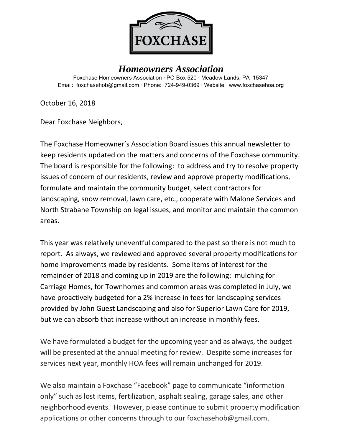

## *Homeowners Association*

Foxchase Homeowners Association ∙ PO Box 520 ∙ Meadow Lands, PA 15347 Email: foxchasehob@gmail.com ∙ Phone: 724-949-0369 ∙ Website: www.foxchasehoa.org

October 16, 2018

Dear Foxchase Neighbors,

The Foxchase Homeowner's Association Board issues this annual newsletter to keep residents updated on the matters and concerns of the Foxchase community. The board is responsible for the following: to address and try to resolve property issues of concern of our residents, review and approve property modifications, formulate and maintain the community budget, select contractors for landscaping, snow removal, lawn care, etc., cooperate with Malone Services and North Strabane Township on legal issues, and monitor and maintain the common areas.

This year was relatively uneventful compared to the past so there is not much to report. As always, we reviewed and approved several property modifications for home improvements made by residents. Some items of interest for the remainder of 2018 and coming up in 2019 are the following: mulching for Carriage Homes, for Townhomes and common areas was completed in July, we have proactively budgeted for a 2% increase in fees for landscaping services provided by John Guest Landscaping and also for Superior Lawn Care for 2019, but we can absorb that increase without an increase in monthly fees.

We have formulated a budget for the upcoming year and as always, the budget will be presented at the annual meeting for review. Despite some increases for services next year, monthly HOA fees will remain unchanged for 2019.

We also maintain a Foxchase "Facebook" page to communicate "information only" such as lost items, fertilization, asphalt sealing, garage sales, and other neighborhood events. However, please continue to submit property modification applications or other concerns through to our [foxchasehob@gmail.com.](mailto:foxchasehob@gmail.com)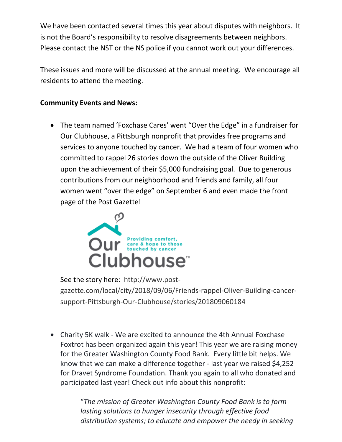We have been contacted several times this year about disputes with neighbors. It is not the Board's responsibility to resolve disagreements between neighbors. Please contact the NST or the NS police if you cannot work out your differences.

These issues and more will be discussed at the annual meeting. We encourage all residents to attend the meeting.

#### **Community Events and News:**

• The team named 'Foxchase Cares' went "Over the Edge" in a fundraiser for Our Clubhouse, a Pittsburgh nonprofit that provides free programs and services to anyone touched by cancer. We had a team of four women who committed to rappel 26 stories down the outside of the Oliver Building upon the achievement of their \$5,000 fundraising goal. Due to generous contributions from our neighborhood and friends and family, all four women went "over the edge" on September 6 and even made the front page of the Post Gazette!



See the story here: [http://www.post](http://www.post-gazette.com/local/city/2018/09/06/Friends-rappel-Oliver-Building-cancer-support-Pittsburgh-Our-Clubhouse/stories/201809060184)[gazette.com/local/city/2018/09/06/Friends-rappel-Oliver-Building-cancer](http://www.post-gazette.com/local/city/2018/09/06/Friends-rappel-Oliver-Building-cancer-support-Pittsburgh-Our-Clubhouse/stories/201809060184)[support-Pittsburgh-Our-Clubhouse/stories/201809060184](http://www.post-gazette.com/local/city/2018/09/06/Friends-rappel-Oliver-Building-cancer-support-Pittsburgh-Our-Clubhouse/stories/201809060184)

• Charity 5K walk - We are excited to announce the 4th Annual Foxchase Foxtrot has been organized again this year! This year we are raising money for the Greater Washington County Food Bank. Every little bit helps. We know that we can make a difference together - last year we raised \$4,252 for Dravet Syndrome Foundation. Thank you again to all who donated and participated last year! Check out info about this nonprofit:

> "*The mission of Greater Washington County Food Bank is to form lasting solutions to hunger insecurity through effective food distribution systems; to educate and empower the needy in seeking*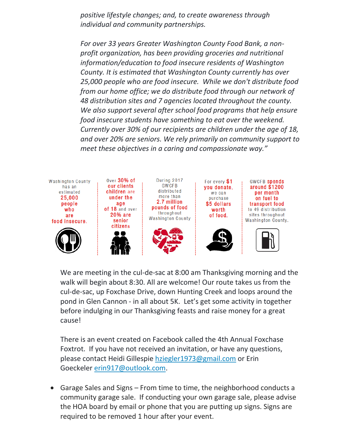*positive lifestyle changes; and, to create awareness through individual and community partnerships.*

*For over 33 years Greater Washington County Food Bank, a nonprofit organization, has been providing groceries and nutritional information/education to food insecure residents of Washington County. It is estimated that Washington County currently has over 25,000 people who are food insecure. While we don't distribute food from our home office; we do distribute food through our network of 48 distribution sites and 7 agencies located throughout the county. We also support several after school food programs that help ensure food insecure students have something to eat over the weekend. Currently over 30% of our recipients are children under the age of 18, and over 20% are seniors. We rely primarily on community support to meet these objectives in a caring and compassionate way."*



We are meeting in the cul-de-sac at 8:00 am Thanksgiving morning and the walk will begin about 8:30. All are welcome! Our route takes us from the cul-de-sac, up Foxchase Drive, down Hunting Creek and loops around the pond in Glen Cannon - in all about 5K. Let's get some activity in together before indulging in our Thanksgiving feasts and raise money for a great cause!

There is an event created on Facebook called the 4th Annual Foxchase Foxtrot. If you have not received an invitation, or have any questions, please contact Heidi Gillespie [hziegler1973@gmail.com](mailto:hziegler1973@gmail.com) or Erin Goeckeler [erin917@outlook.com.](mailto:erin917@outlook.com)

• Garage Sales and Signs – From time to time, the neighborhood conducts a community garage sale. If conducting your own garage sale, please advise the HOA board by email or phone that you are putting up signs. Signs are required to be removed 1 hour after your event.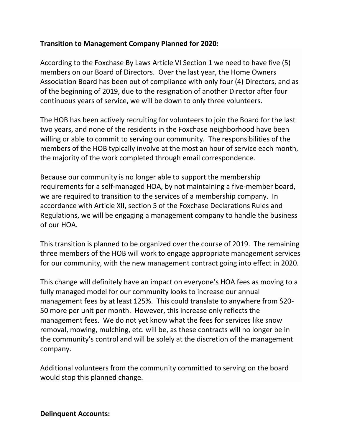### **Transition to Management Company Planned for 2020:**

According to the Foxchase By Laws Article VI Section 1 we need to have five (5) members on our Board of Directors. Over the last year, the Home Owners Association Board has been out of compliance with only four (4) Directors, and as of the beginning of 2019, due to the resignation of another Director after four continuous years of service, we will be down to only three volunteers.

The HOB has been actively recruiting for volunteers to join the Board for the last two years, and none of the residents in the Foxchase neighborhood have been willing or able to commit to serving our community. The responsibilities of the members of the HOB typically involve at the most an hour of service each month, the majority of the work completed through email correspondence.

Because our community is no longer able to support the membership requirements for a self-managed HOA, by not maintaining a five-member board, we are required to transition to the services of a membership company. In accordance with Article XII, section 5 of the Foxchase Declarations Rules and Regulations, we will be engaging a management company to handle the business of our HOA.

This transition is planned to be organized over the course of 2019. The remaining three members of the HOB will work to engage appropriate management services for our community, with the new management contract going into effect in 2020.

This change will definitely have an impact on everyone's HOA fees as moving to a fully managed model for our community looks to increase our annual management fees by at least 125%. This could translate to anywhere from \$20- 50 more per unit per month. However, this increase only reflects the management fees. We do not yet know what the fees for services like snow removal, mowing, mulching, etc. will be, as these contracts will no longer be in the community's control and will be solely at the discretion of the management company.

Additional volunteers from the community committed to serving on the board would stop this planned change.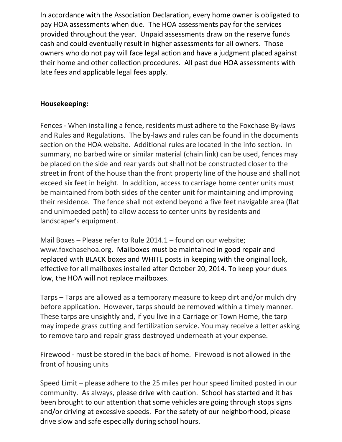In accordance with the Association Declaration, every home owner is obligated to pay HOA assessments when due. The HOA assessments pay for the services provided throughout the year. Unpaid assessments draw on the reserve funds cash and could eventually result in higher assessments for all owners. Those owners who do not pay will face legal action and have a judgment placed against their home and other collection procedures. All past due HOA assessments with late fees and applicable legal fees apply.

### **Housekeeping:**

Fences - When installing a fence, residents must adhere to the Foxchase By-laws and Rules and Regulations. The by-laws and rules can be found in the documents section on the HOA website. Additional rules are located in the info section. In summary, no barbed wire or similar material (chain link) can be used, fences may be placed on the side and rear yards but shall not be constructed closer to the street in front of the house than the front property line of the house and shall not exceed six feet in height. In addition, access to carriage home center units must be maintained from both sides of the center unit for maintaining and improving their residence. The fence shall not extend beyond a five feet navigable area (flat and unimpeded path) to allow access to center units by residents and landscaper's equipment.

Mail Boxes – Please refer to Rule 2014.1 – found on our website; [www.foxchasehoa.org.](http://www.foxchasehoa.org/) Mailboxes must be maintained in good repair and replaced with BLACK boxes and WHITE posts in keeping with the original look, effective for all mailboxes installed after October 20, 2014. To keep your dues low, the HOA will not replace mailboxes.

Tarps – Tarps are allowed as a temporary measure to keep dirt and/or mulch dry before application. However, tarps should be removed within a timely manner. These tarps are unsightly and, if you live in a Carriage or Town Home, the tarp may impede grass cutting and fertilization service. You may receive a letter asking to remove tarp and repair grass destroyed underneath at your expense.

Firewood - must be stored in the back of home. Firewood is not allowed in the front of housing units

Speed Limit – please adhere to the 25 miles per hour speed limited posted in our community. As always, please drive with caution. School has started and it has been brought to our attention that some vehicles are going through stops signs and/or driving at excessive speeds. For the safety of our neighborhood, please drive slow and safe especially during school hours.